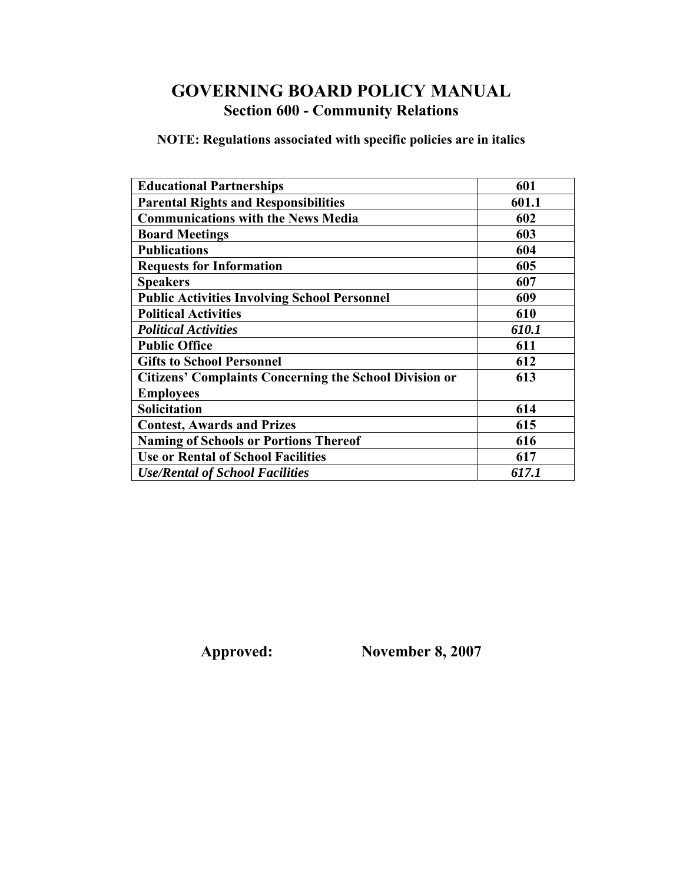# **GOVERNING BOARD POLICY MANUAL Section 600 - Community Relations**

**NOTE: Regulations associated with specific policies are in italics** 

| <b>Educational Partnerships</b>                               | 601   |
|---------------------------------------------------------------|-------|
| <b>Parental Rights and Responsibilities</b>                   | 601.1 |
| <b>Communications with the News Media</b>                     | 602   |
| <b>Board Meetings</b>                                         | 603   |
| <b>Publications</b>                                           | 604   |
| <b>Requests for Information</b>                               | 605   |
| <b>Speakers</b>                                               | 607   |
| <b>Public Activities Involving School Personnel</b>           | 609   |
| <b>Political Activities</b>                                   | 610   |
| <b>Political Activities</b>                                   | 610.1 |
| <b>Public Office</b>                                          | 611   |
| <b>Gifts to School Personnel</b>                              | 612   |
| <b>Citizens' Complaints Concerning the School Division or</b> | 613   |
| <b>Employees</b>                                              |       |
| Solicitation                                                  | 614   |
| <b>Contest, Awards and Prizes</b>                             | 615   |
| <b>Naming of Schools or Portions Thereof</b>                  | 616   |
| <b>Use or Rental of School Facilities</b>                     | 617   |
| <b>Use/Rental of School Facilities</b>                        | 617.1 |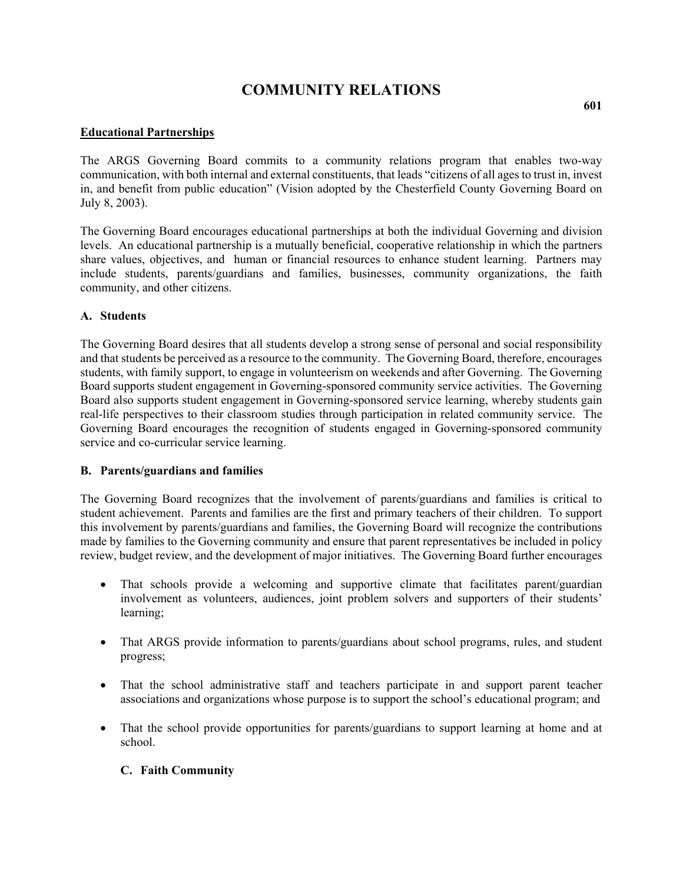#### **Educational Partnerships**

The ARGS Governing Board commits to a community relations program that enables two-way communication, with both internal and external constituents, that leads "citizens of all ages to trust in, invest in, and benefit from public education" (Vision adopted by the Chesterfield County Governing Board on July 8, 2003).

The Governing Board encourages educational partnerships at both the individual Governing and division levels. An educational partnership is a mutually beneficial, cooperative relationship in which the partners share values, objectives, and human or financial resources to enhance student learning. Partners may include students, parents/guardians and families, businesses, community organizations, the faith community, and other citizens.

#### **A. Students**

The Governing Board desires that all students develop a strong sense of personal and social responsibility and that students be perceived as a resource to the community. The Governing Board, therefore, encourages students, with family support, to engage in volunteerism on weekends and after Governing. The Governing Board supports student engagement in Governing-sponsored community service activities. The Governing Board also supports student engagement in Governing-sponsored service learning, whereby students gain real-life perspectives to their classroom studies through participation in related community service. The Governing Board encourages the recognition of students engaged in Governing-sponsored community service and co-curricular service learning.

#### **B. Parents/guardians and families**

The Governing Board recognizes that the involvement of parents/guardians and families is critical to student achievement. Parents and families are the first and primary teachers of their children. To support this involvement by parents/guardians and families, the Governing Board will recognize the contributions made by families to the Governing community and ensure that parent representatives be included in policy review, budget review, and the development of major initiatives. The Governing Board further encourages

- That schools provide a welcoming and supportive climate that facilitates parent/guardian involvement as volunteers, audiences, joint problem solvers and supporters of their students' learning;
- That ARGS provide information to parents/guardians about school programs, rules, and student progress;
- That the school administrative staff and teachers participate in and support parent teacher associations and organizations whose purpose is to support the school's educational program; and
- That the school provide opportunities for parents/guardians to support learning at home and at school.

## **C. Faith Community**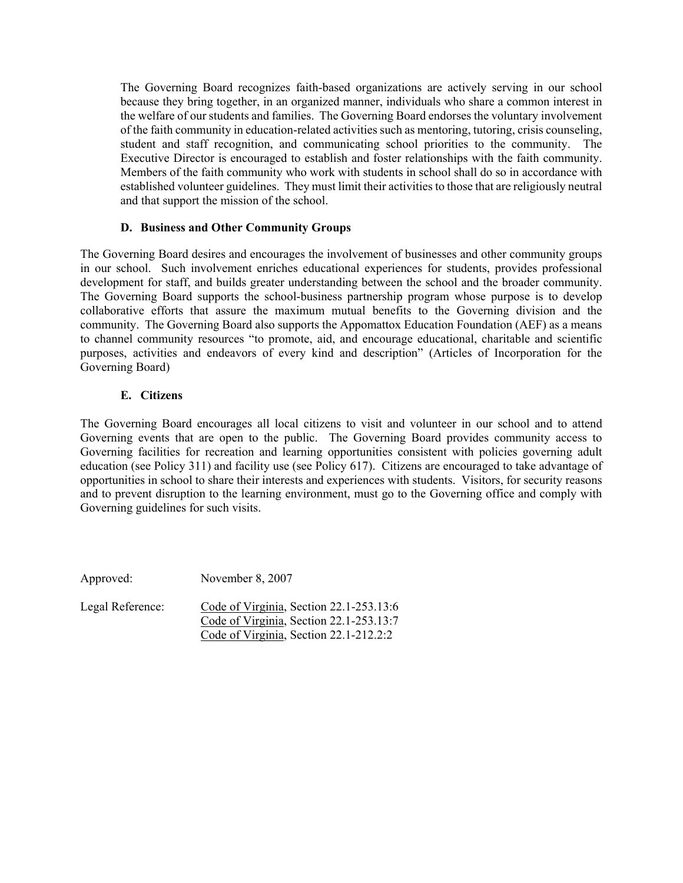The Governing Board recognizes faith-based organizations are actively serving in our school because they bring together, in an organized manner, individuals who share a common interest in the welfare of our students and families. The Governing Board endorses the voluntary involvement of the faith community in education-related activities such as mentoring, tutoring, crisis counseling, student and staff recognition, and communicating school priorities to the community. The Executive Director is encouraged to establish and foster relationships with the faith community. Members of the faith community who work with students in school shall do so in accordance with established volunteer guidelines. They must limit their activities to those that are religiously neutral and that support the mission of the school.

## **D. Business and Other Community Groups**

The Governing Board desires and encourages the involvement of businesses and other community groups in our school. Such involvement enriches educational experiences for students, provides professional development for staff, and builds greater understanding between the school and the broader community. The Governing Board supports the school-business partnership program whose purpose is to develop collaborative efforts that assure the maximum mutual benefits to the Governing division and the community. The Governing Board also supports the Appomattox Education Foundation (AEF) as a means to channel community resources "to promote, aid, and encourage educational, charitable and scientific purposes, activities and endeavors of every kind and description" (Articles of Incorporation for the Governing Board)

## **E. Citizens**

The Governing Board encourages all local citizens to visit and volunteer in our school and to attend Governing events that are open to the public. The Governing Board provides community access to Governing facilities for recreation and learning opportunities consistent with policies governing adult education (see Policy 311) and facility use (see Policy 617). Citizens are encouraged to take advantage of opportunities in school to share their interests and experiences with students. Visitors, for security reasons and to prevent disruption to the learning environment, must go to the Governing office and comply with Governing guidelines for such visits.

Approved: November 8, 2007 Legal Reference: Code of Virginia, Section

| Legal Reference: | Code of Virginia, Section $22.1 - 253.13:6$ |
|------------------|---------------------------------------------|
|                  | Code of Virginia, Section 22.1-253.13:7     |
|                  | Code of Virginia, Section 22.1-212.2:2      |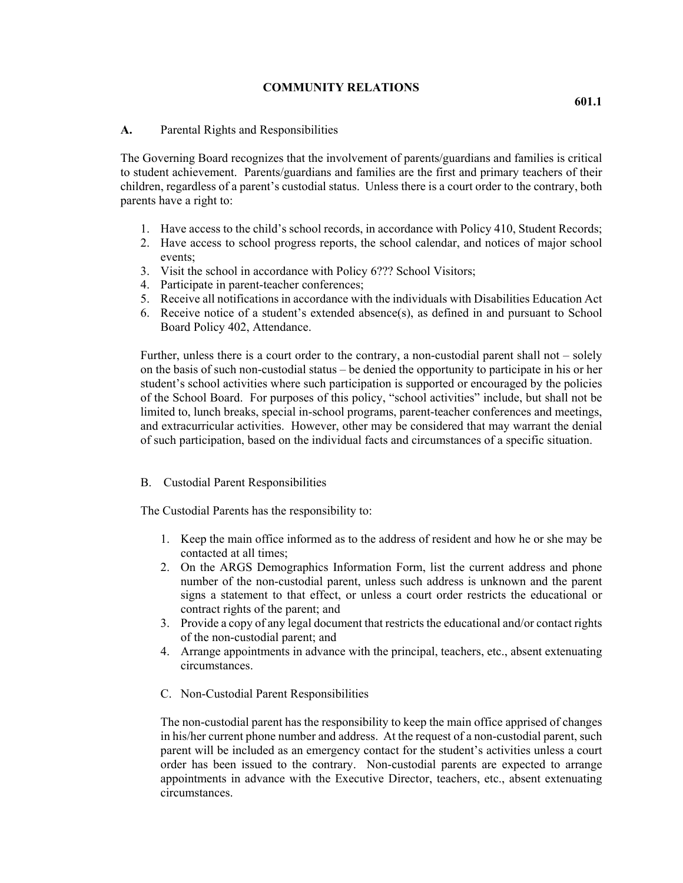#### **A.** Parental Rights and Responsibilities

The Governing Board recognizes that the involvement of parents/guardians and families is critical to student achievement. Parents/guardians and families are the first and primary teachers of their children, regardless of a parent's custodial status. Unless there is a court order to the contrary, both parents have a right to:

- 1. Have access to the child's school records, in accordance with Policy 410, Student Records;
- 2. Have access to school progress reports, the school calendar, and notices of major school events;
- 3. Visit the school in accordance with Policy 6??? School Visitors;
- 4. Participate in parent-teacher conferences;
- 5. Receive all notifications in accordance with the individuals with Disabilities Education Act
- 6. Receive notice of a student's extended absence(s), as defined in and pursuant to School Board Policy 402, Attendance.

Further, unless there is a court order to the contrary, a non-custodial parent shall not – solely on the basis of such non-custodial status – be denied the opportunity to participate in his or her student's school activities where such participation is supported or encouraged by the policies of the School Board. For purposes of this policy, "school activities" include, but shall not be limited to, lunch breaks, special in-school programs, parent-teacher conferences and meetings, and extracurricular activities. However, other may be considered that may warrant the denial of such participation, based on the individual facts and circumstances of a specific situation.

#### B. Custodial Parent Responsibilities

The Custodial Parents has the responsibility to:

- 1. Keep the main office informed as to the address of resident and how he or she may be contacted at all times;
- 2. On the ARGS Demographics Information Form, list the current address and phone number of the non-custodial parent, unless such address is unknown and the parent signs a statement to that effect, or unless a court order restricts the educational or contract rights of the parent; and
- 3. Provide a copy of any legal document that restricts the educational and/or contact rights of the non-custodial parent; and
- 4. Arrange appointments in advance with the principal, teachers, etc., absent extenuating circumstances.
- C. Non-Custodial Parent Responsibilities

The non-custodial parent has the responsibility to keep the main office apprised of changes in his/her current phone number and address. At the request of a non-custodial parent, such parent will be included as an emergency contact for the student's activities unless a court order has been issued to the contrary. Non-custodial parents are expected to arrange appointments in advance with the Executive Director, teachers, etc., absent extenuating circumstances.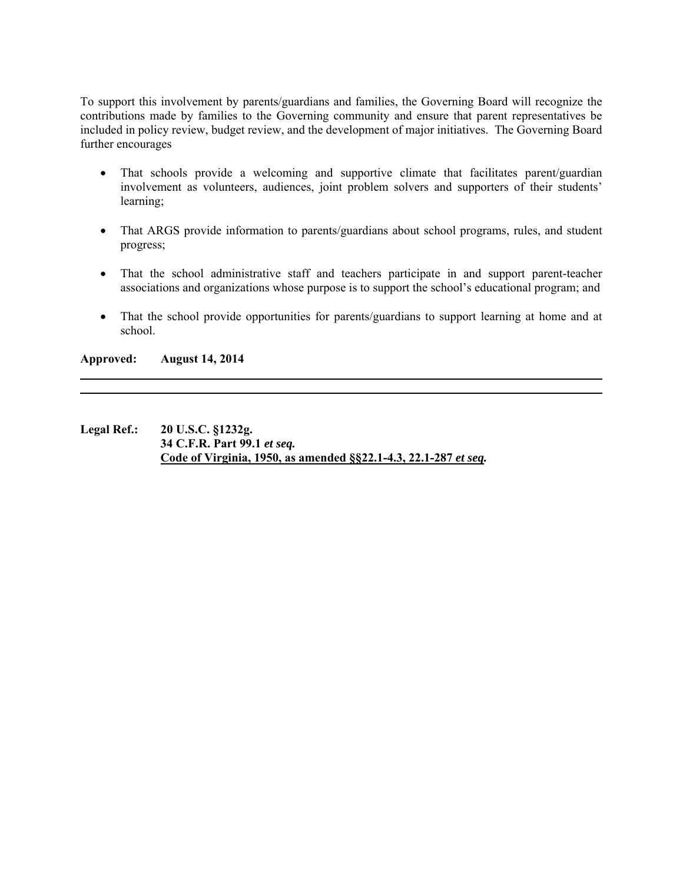To support this involvement by parents/guardians and families, the Governing Board will recognize the contributions made by families to the Governing community and ensure that parent representatives be included in policy review, budget review, and the development of major initiatives. The Governing Board further encourages

- That schools provide a welcoming and supportive climate that facilitates parent/guardian involvement as volunteers, audiences, joint problem solvers and supporters of their students' learning;
- That ARGS provide information to parents/guardians about school programs, rules, and student progress;
- That the school administrative staff and teachers participate in and support parent-teacher associations and organizations whose purpose is to support the school's educational program; and
- That the school provide opportunities for parents/guardians to support learning at home and at school.

**Approved: August 14, 2014** 

**Legal Ref.: 20 U.S.C. §1232g. 34 C.F.R. Part 99.1** *et seq.*  **Code of Virginia, 1950, as amended §§22.1-4.3, 22.1-287** *et seq.*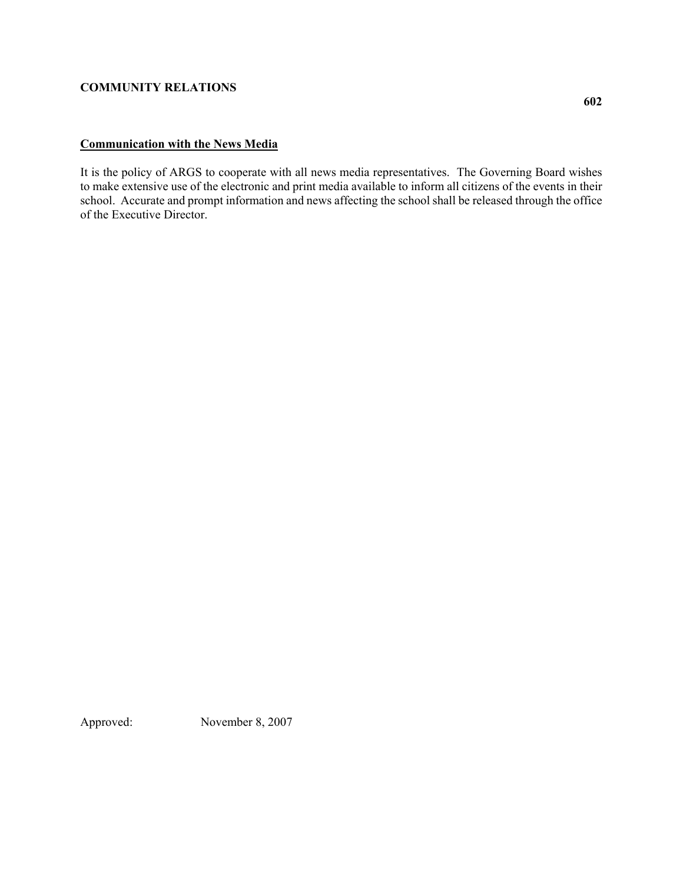# **Communication with the News Media**

It is the policy of ARGS to cooperate with all news media representatives. The Governing Board wishes to make extensive use of the electronic and print media available to inform all citizens of the events in their school. Accurate and prompt information and news affecting the school shall be released through the office of the Executive Director.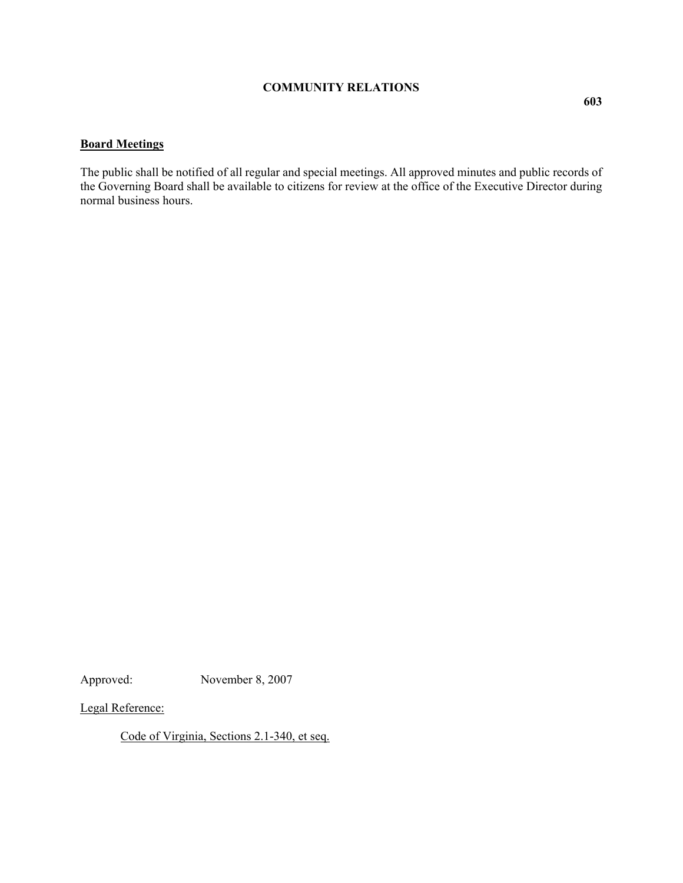# **Board Meetings**

The public shall be notified of all regular and special meetings. All approved minutes and public records of the Governing Board shall be available to citizens for review at the office of the Executive Director during normal business hours.

Approved: November 8, 2007

Legal Reference:

Code of Virginia, Sections 2.1-340, et seq.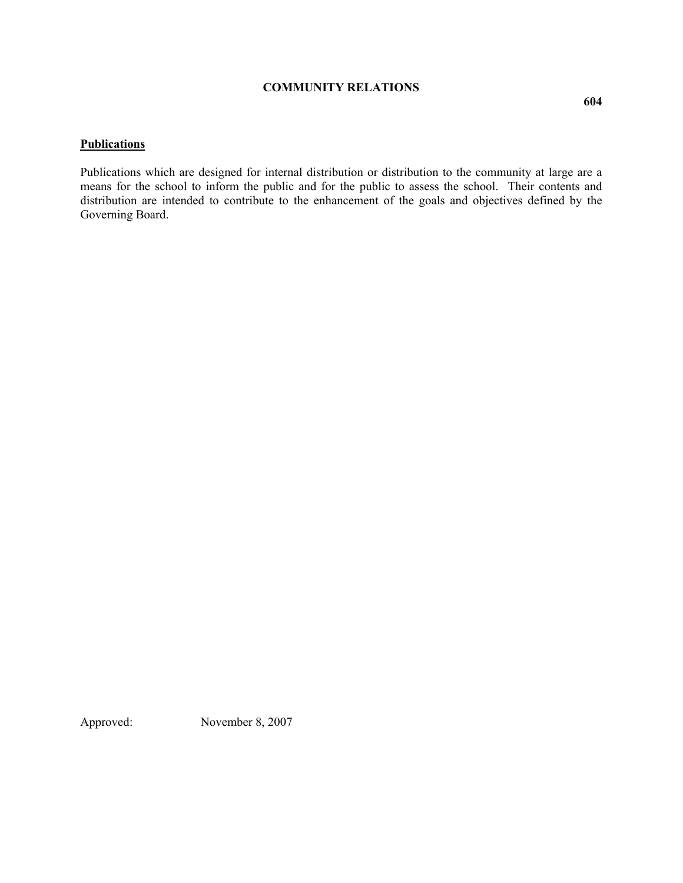#### **Publications**

Publications which are designed for internal distribution or distribution to the community at large are a means for the school to inform the public and for the public to assess the school. Their contents and distribution are intended to contribute to the enhancement of the goals and objectives defined by the Governing Board.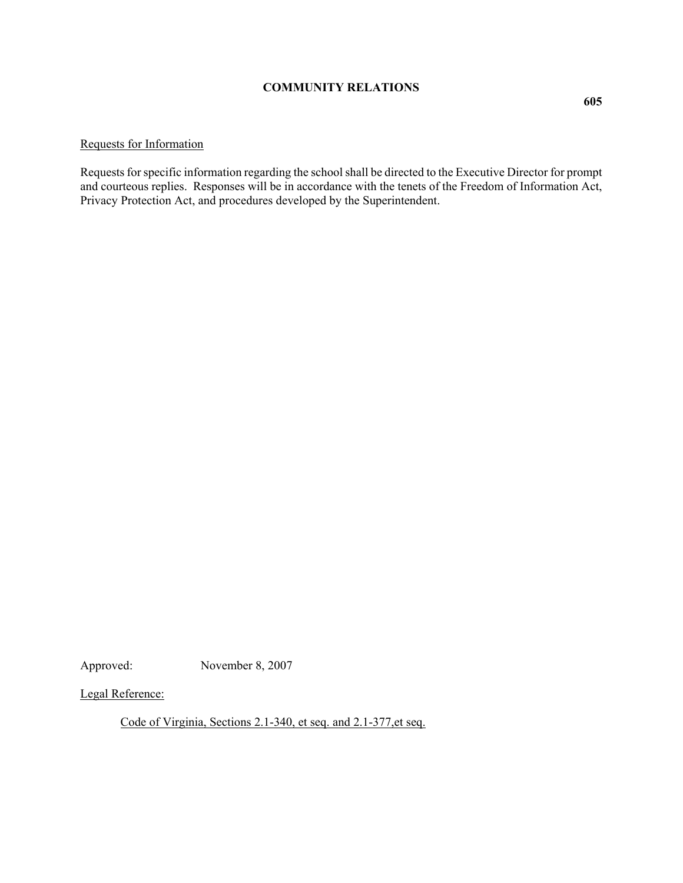# Requests for Information

Requests for specific information regarding the school shall be directed to the Executive Director for prompt and courteous replies. Responses will be in accordance with the tenets of the Freedom of Information Act, Privacy Protection Act, and procedures developed by the Superintendent.

Approved: November 8, 2007

Legal Reference:

Code of Virginia, Sections 2.1-340, et seq. and 2.1-377,et seq.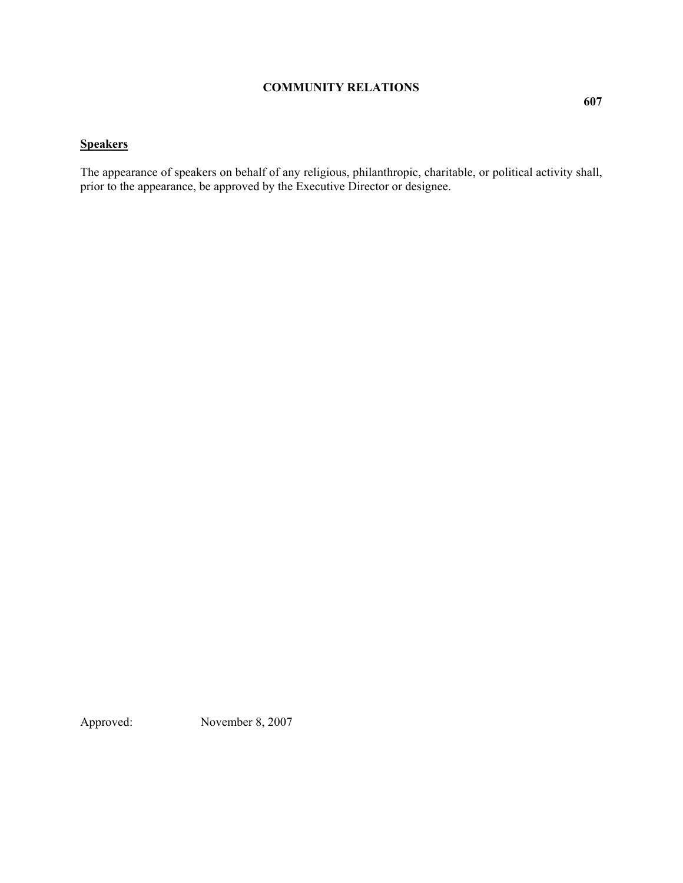# **Speakers**

The appearance of speakers on behalf of any religious, philanthropic, charitable, or political activity shall, prior to the appearance, be approved by the Executive Director or designee.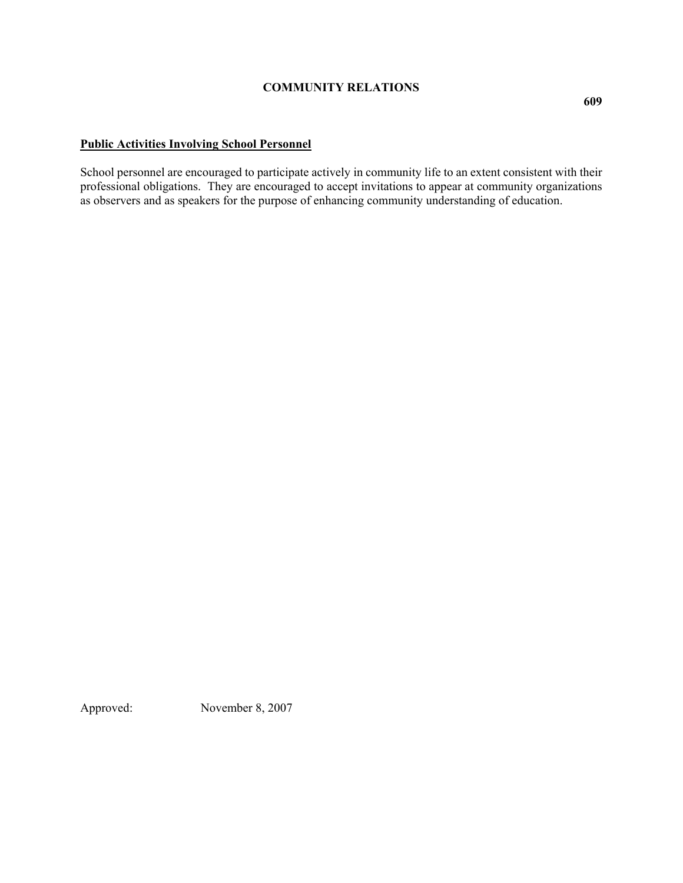# **Public Activities Involving School Personnel**

School personnel are encouraged to participate actively in community life to an extent consistent with their professional obligations. They are encouraged to accept invitations to appear at community organizations as observers and as speakers for the purpose of enhancing community understanding of education.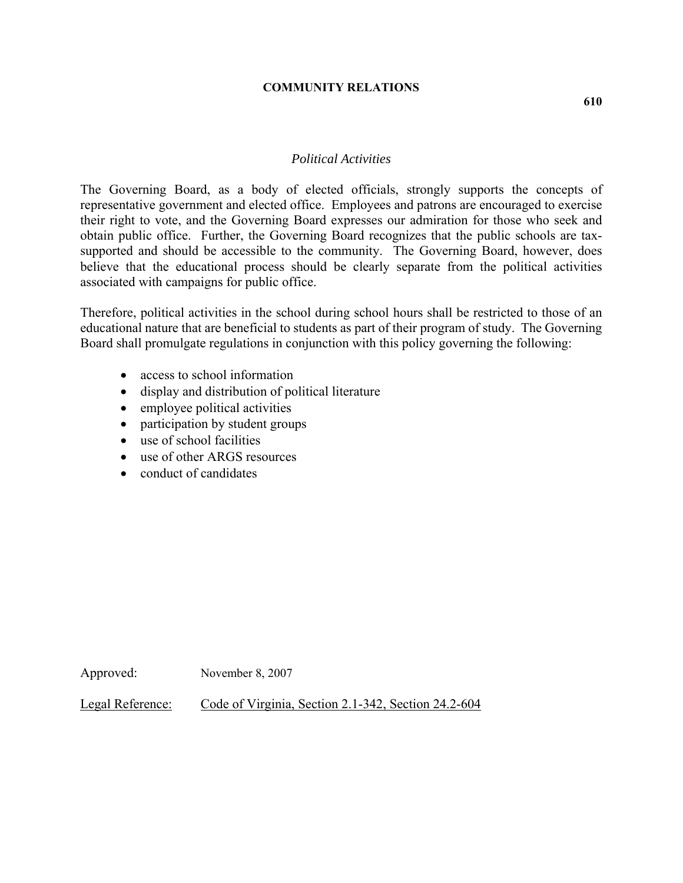## *Political Activities*

The Governing Board, as a body of elected officials, strongly supports the concepts of representative government and elected office. Employees and patrons are encouraged to exercise their right to vote, and the Governing Board expresses our admiration for those who seek and obtain public office. Further, the Governing Board recognizes that the public schools are taxsupported and should be accessible to the community. The Governing Board, however, does believe that the educational process should be clearly separate from the political activities associated with campaigns for public office.

Therefore, political activities in the school during school hours shall be restricted to those of an educational nature that are beneficial to students as part of their program of study. The Governing Board shall promulgate regulations in conjunction with this policy governing the following:

- access to school information
- display and distribution of political literature
- employee political activities
- participation by student groups
- use of school facilities
- use of other ARGS resources
- conduct of candidates

Approved: November 8, 2007

Legal Reference: Code of Virginia, Section 2.1-342, Section 24.2-604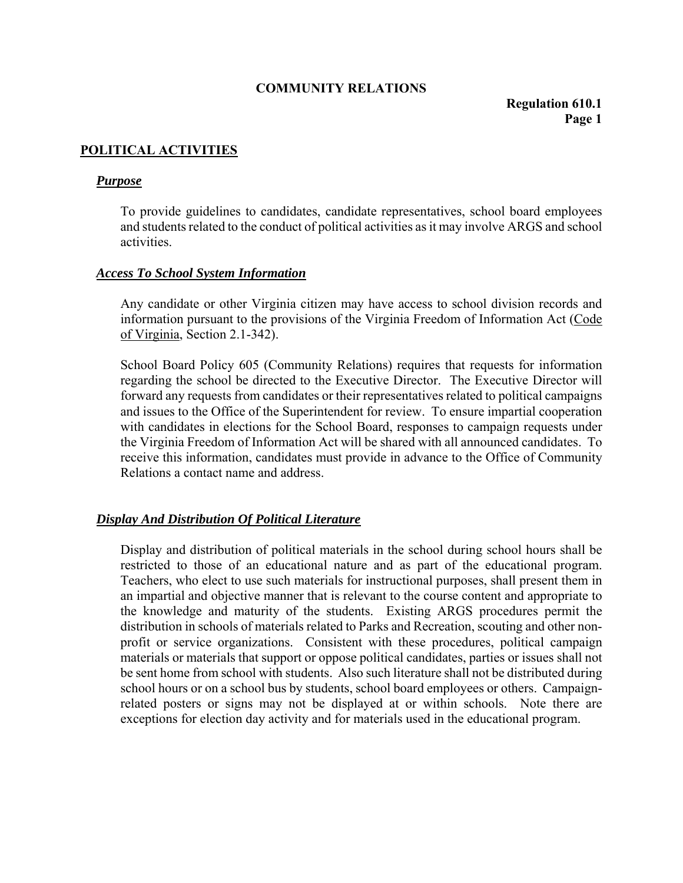# **POLITICAL ACTIVITIES**

## *Purpose*

To provide guidelines to candidates, candidate representatives, school board employees and students related to the conduct of political activities as it may involve ARGS and school activities.

## *Access To School System Information*

Any candidate or other Virginia citizen may have access to school division records and information pursuant to the provisions of the Virginia Freedom of Information Act (Code of Virginia, Section 2.1-342).

School Board Policy 605 (Community Relations) requires that requests for information regarding the school be directed to the Executive Director. The Executive Director will forward any requests from candidates or their representatives related to political campaigns and issues to the Office of the Superintendent for review. To ensure impartial cooperation with candidates in elections for the School Board, responses to campaign requests under the Virginia Freedom of Information Act will be shared with all announced candidates. To receive this information, candidates must provide in advance to the Office of Community Relations a contact name and address.

## *Display And Distribution Of Political Literature*

Display and distribution of political materials in the school during school hours shall be restricted to those of an educational nature and as part of the educational program. Teachers, who elect to use such materials for instructional purposes, shall present them in an impartial and objective manner that is relevant to the course content and appropriate to the knowledge and maturity of the students. Existing ARGS procedures permit the distribution in schools of materials related to Parks and Recreation, scouting and other nonprofit or service organizations. Consistent with these procedures, political campaign materials or materials that support or oppose political candidates, parties or issues shall not be sent home from school with students. Also such literature shall not be distributed during school hours or on a school bus by students, school board employees or others. Campaignrelated posters or signs may not be displayed at or within schools. Note there are exceptions for election day activity and for materials used in the educational program.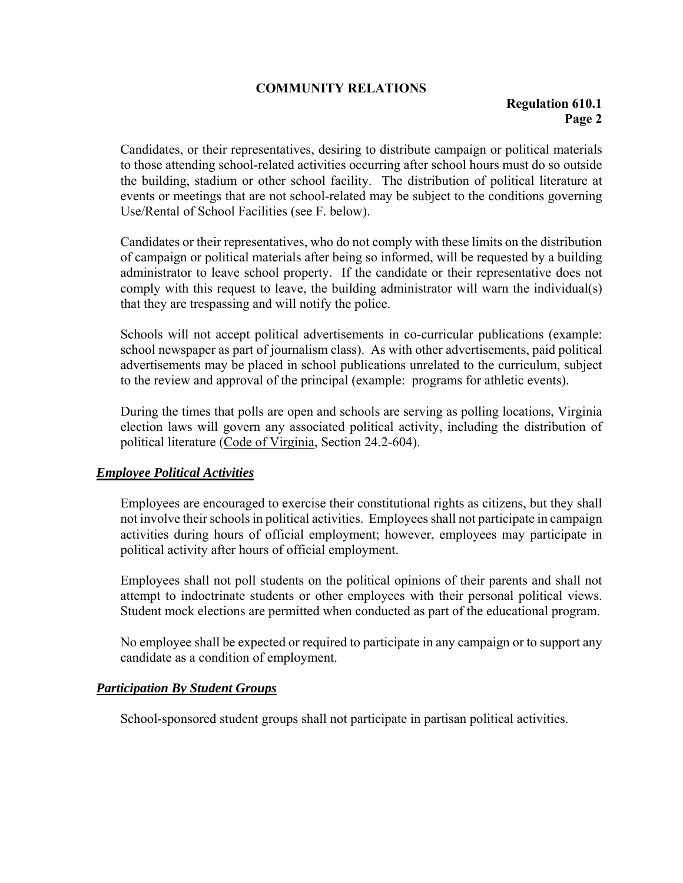Candidates, or their representatives, desiring to distribute campaign or political materials to those attending school-related activities occurring after school hours must do so outside the building, stadium or other school facility. The distribution of political literature at events or meetings that are not school-related may be subject to the conditions governing Use/Rental of School Facilities (see F. below).

Candidates or their representatives, who do not comply with these limits on the distribution of campaign or political materials after being so informed, will be requested by a building administrator to leave school property. If the candidate or their representative does not comply with this request to leave, the building administrator will warn the individual(s) that they are trespassing and will notify the police.

Schools will not accept political advertisements in co-curricular publications (example: school newspaper as part of journalism class). As with other advertisements, paid political advertisements may be placed in school publications unrelated to the curriculum, subject to the review and approval of the principal (example: programs for athletic events).

During the times that polls are open and schools are serving as polling locations, Virginia election laws will govern any associated political activity, including the distribution of political literature (Code of Virginia, Section 24.2-604).

## *Employee Political Activities*

Employees are encouraged to exercise their constitutional rights as citizens, but they shall not involve their schools in political activities. Employees shall not participate in campaign activities during hours of official employment; however, employees may participate in political activity after hours of official employment.

Employees shall not poll students on the political opinions of their parents and shall not attempt to indoctrinate students or other employees with their personal political views. Student mock elections are permitted when conducted as part of the educational program.

No employee shall be expected or required to participate in any campaign or to support any candidate as a condition of employment.

## *Participation By Student Groups*

School-sponsored student groups shall not participate in partisan political activities.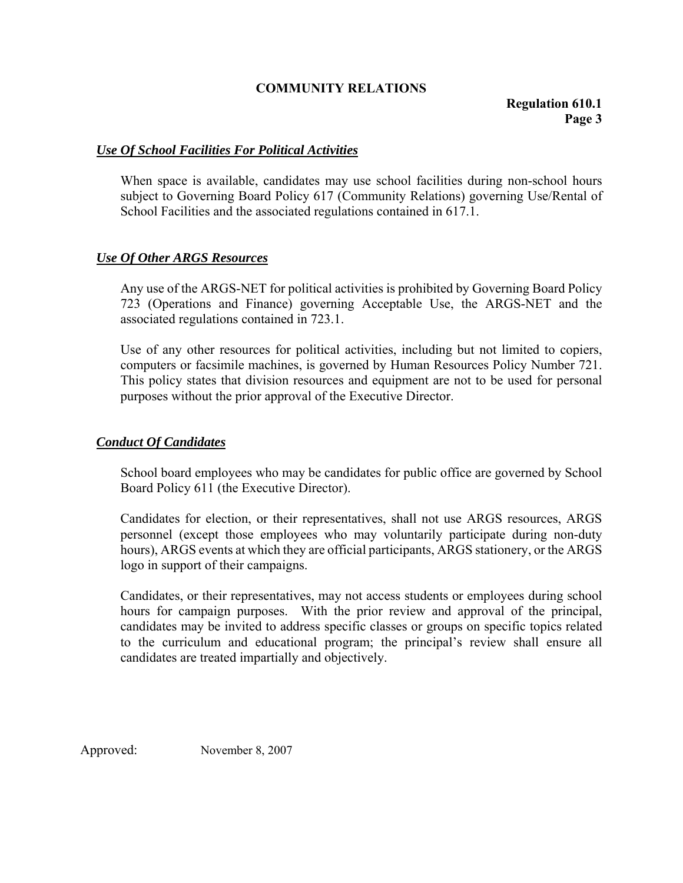# *Use Of School Facilities For Political Activities*

When space is available, candidates may use school facilities during non-school hours subject to Governing Board Policy 617 (Community Relations) governing Use/Rental of School Facilities and the associated regulations contained in 617.1.

# *Use Of Other ARGS Resources*

Any use of the ARGS-NET for political activities is prohibited by Governing Board Policy 723 (Operations and Finance) governing Acceptable Use, the ARGS-NET and the associated regulations contained in 723.1.

Use of any other resources for political activities, including but not limited to copiers, computers or facsimile machines, is governed by Human Resources Policy Number 721. This policy states that division resources and equipment are not to be used for personal purposes without the prior approval of the Executive Director.

## *Conduct Of Candidates*

School board employees who may be candidates for public office are governed by School Board Policy 611 (the Executive Director).

Candidates for election, or their representatives, shall not use ARGS resources, ARGS personnel (except those employees who may voluntarily participate during non-duty hours), ARGS events at which they are official participants, ARGS stationery, or the ARGS logo in support of their campaigns.

Candidates, or their representatives, may not access students or employees during school hours for campaign purposes. With the prior review and approval of the principal, candidates may be invited to address specific classes or groups on specific topics related to the curriculum and educational program; the principal's review shall ensure all candidates are treated impartially and objectively.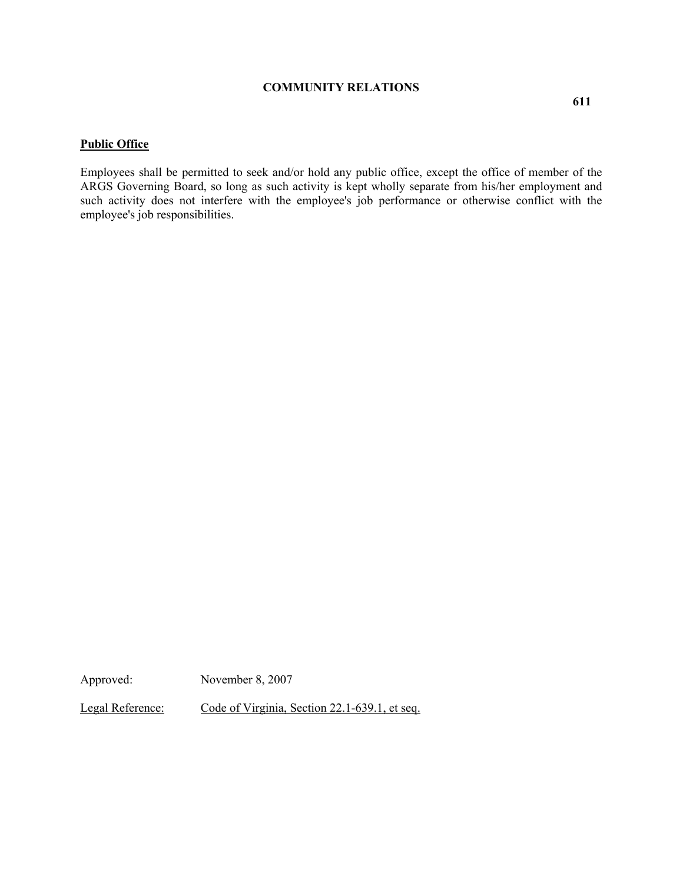#### **Public Office**

Employees shall be permitted to seek and/or hold any public office, except the office of member of the ARGS Governing Board, so long as such activity is kept wholly separate from his/her employment and such activity does not interfere with the employee's job performance or otherwise conflict with the employee's job responsibilities.

Approved: November 8, 2007

Legal Reference: Code of Virginia, Section 22.1-639.1, et seq.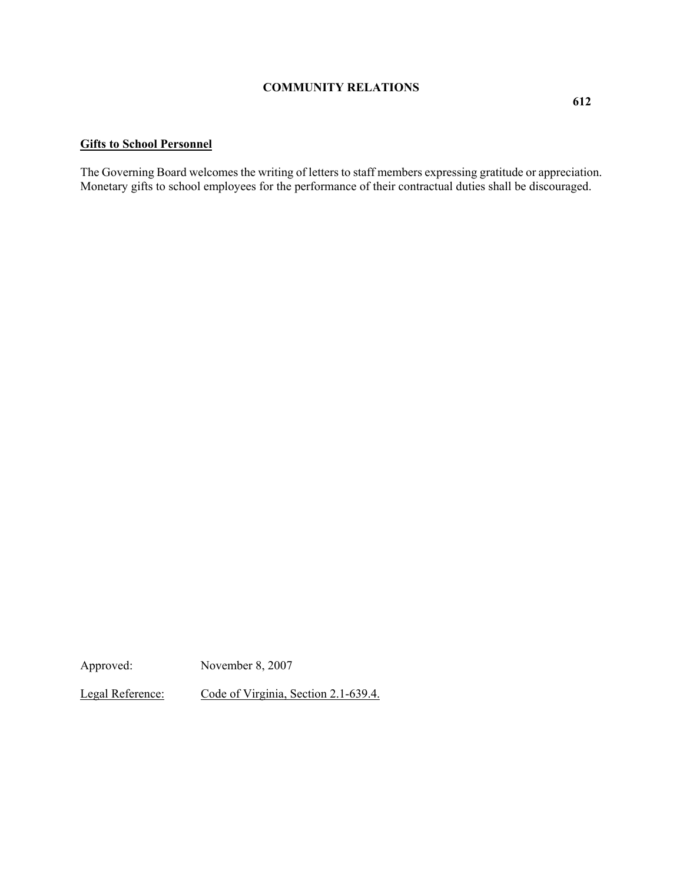# **Gifts to School Personnel**

The Governing Board welcomes the writing of letters to staff members expressing gratitude or appreciation. Monetary gifts to school employees for the performance of their contractual duties shall be discouraged.

Approved: November 8, 2007

Legal Reference: Code of Virginia, Section 2.1-639.4.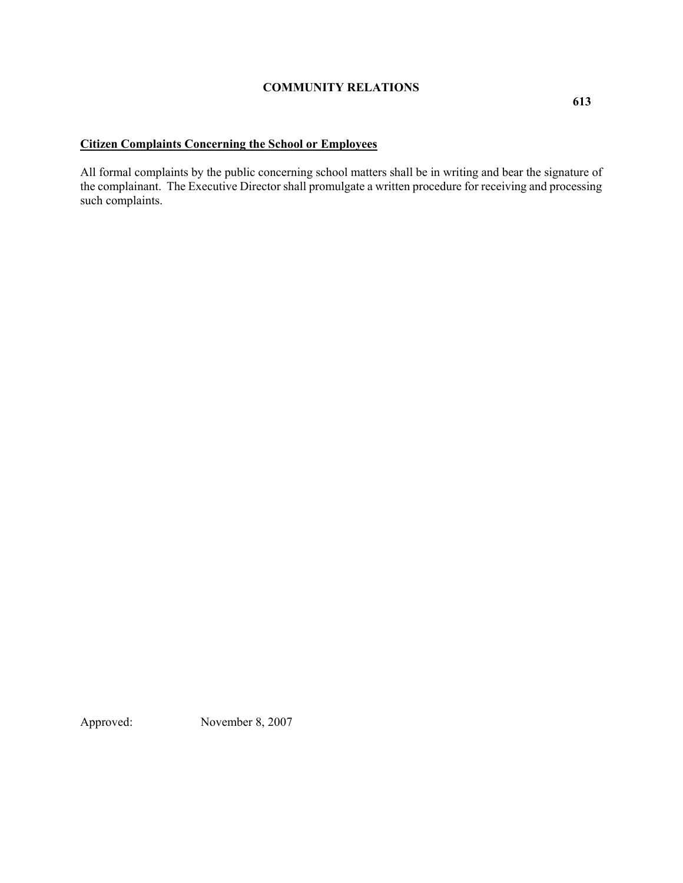# **Citizen Complaints Concerning the School or Employees**

All formal complaints by the public concerning school matters shall be in writing and bear the signature of the complainant. The Executive Director shall promulgate a written procedure for receiving and processing such complaints.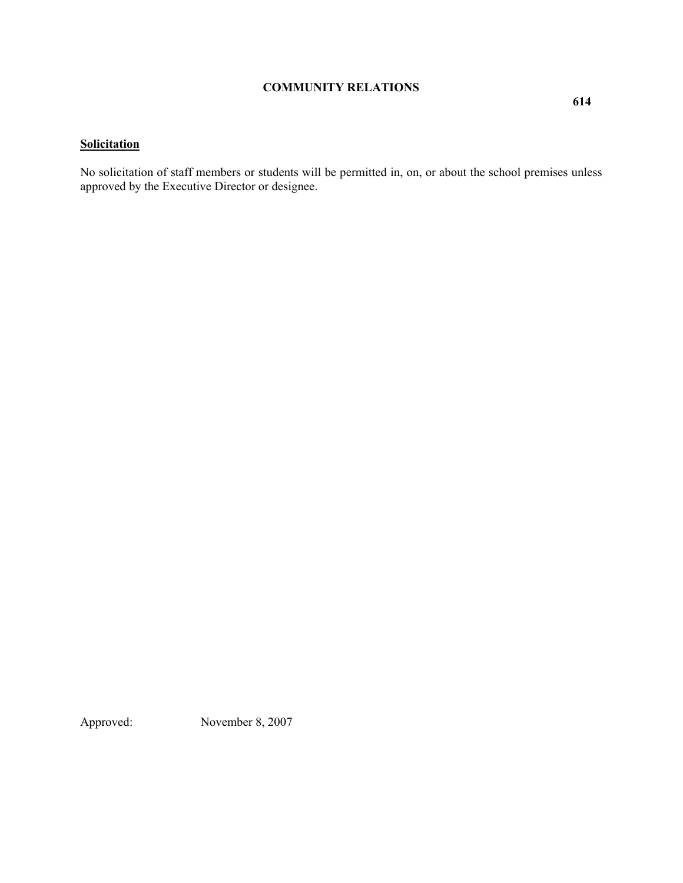# **Solicitation**

No solicitation of staff members or students will be permitted in, on, or about the school premises unless approved by the Executive Director or designee.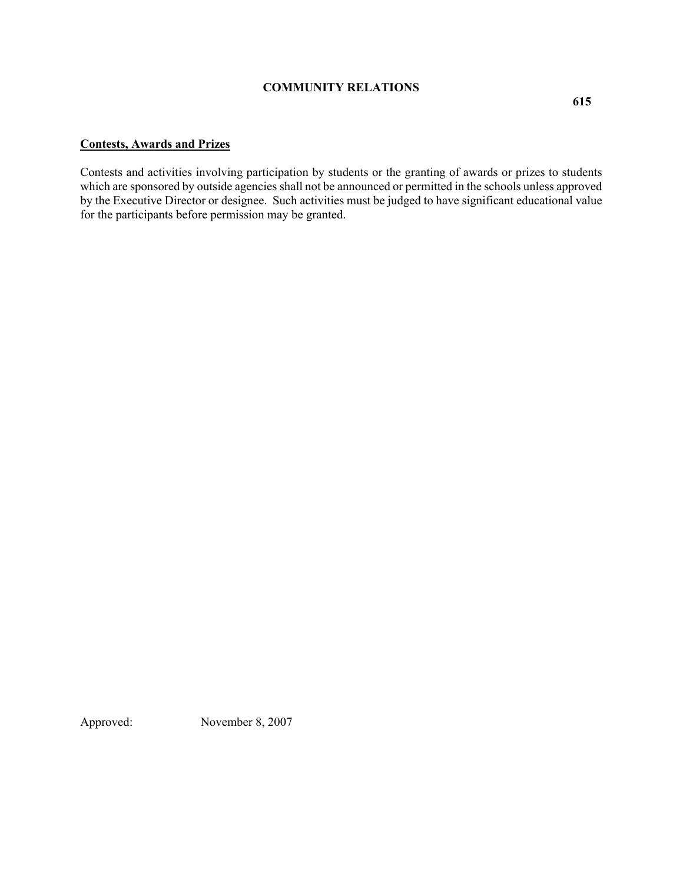#### **Contests, Awards and Prizes**

Contests and activities involving participation by students or the granting of awards or prizes to students which are sponsored by outside agencies shall not be announced or permitted in the schools unless approved by the Executive Director or designee. Such activities must be judged to have significant educational value for the participants before permission may be granted.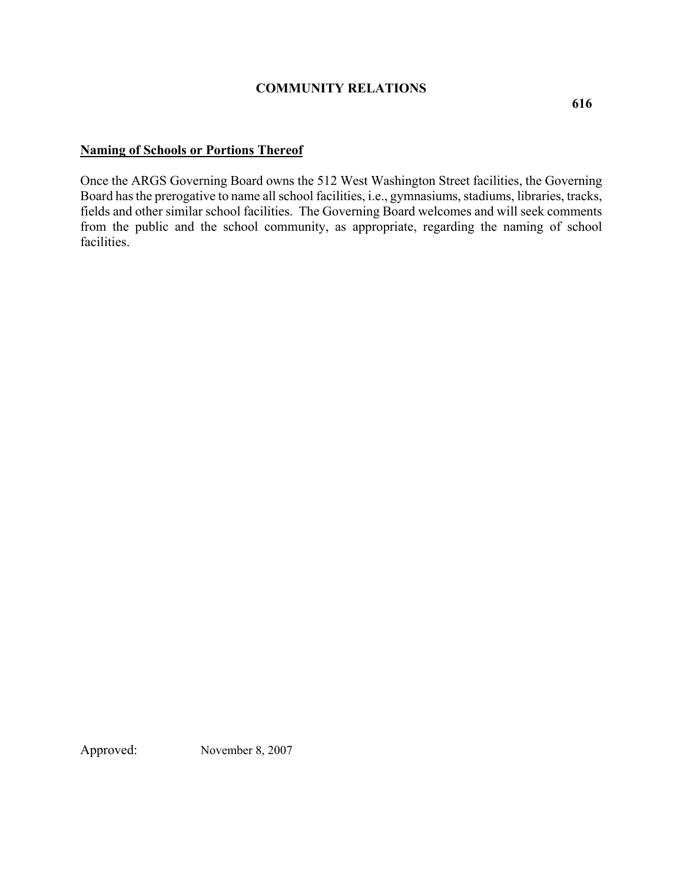# **Naming of Schools or Portions Thereof**

Once the ARGS Governing Board owns the 512 West Washington Street facilities, the Governing Board has the prerogative to name all school facilities, i.e., gymnasiums, stadiums, libraries, tracks, fields and other similar school facilities. The Governing Board welcomes and will seek comments from the public and the school community, as appropriate, regarding the naming of school facilities.